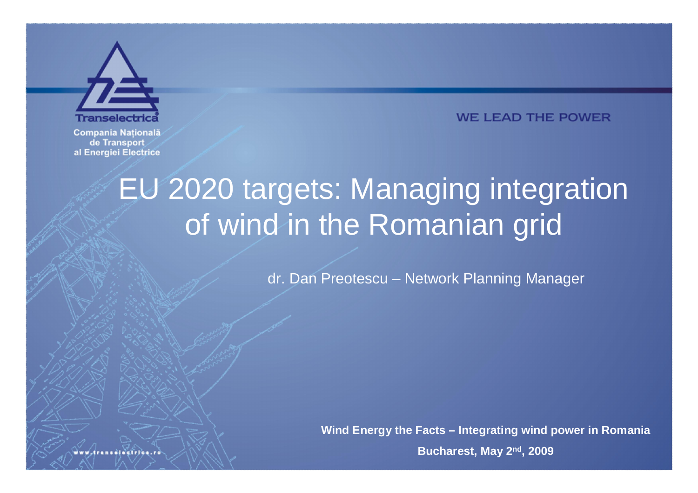

**WE LEAD THE POWER** 

**Compania Natională** de Transport al Energiei Electrice

## EU 2020 targets: Managing integration of wind in the Romanian grid

dr. Dan Preotescu - Network Planning Manager

Wind Energy the Facts – Integrating wind power in Romania

**Bucharest, May 2nd, 2009**

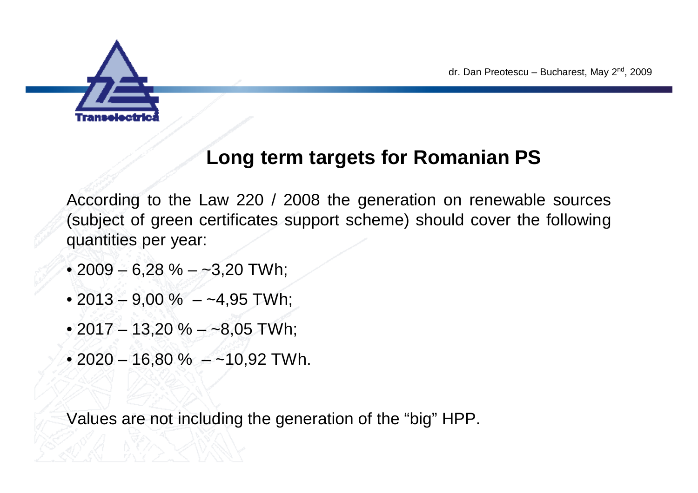

#### **Long term targets for Romanian PS**

According to the Law 220 / 2008 the generation on renewable sources (subject of green certificates support scheme) should cover the following quantities per year:

- $\cdot$  2009 6,28 % ~3,20 TWh;
- $\cdot$  2013 9,00 % ~4,95 TWh;
- 2017 13,20 % ~8,05 TWh;
- 2020 16,80 % ~10,92 TWh.

Values are not including the generation of the "big" HPP.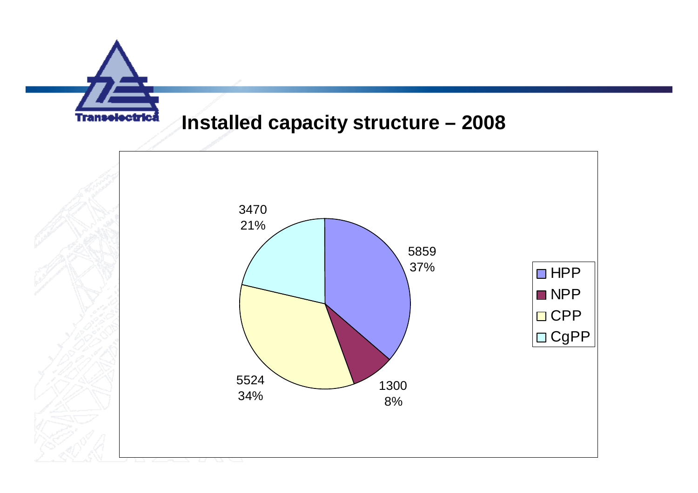

#### **Installed capacity structure –2008**

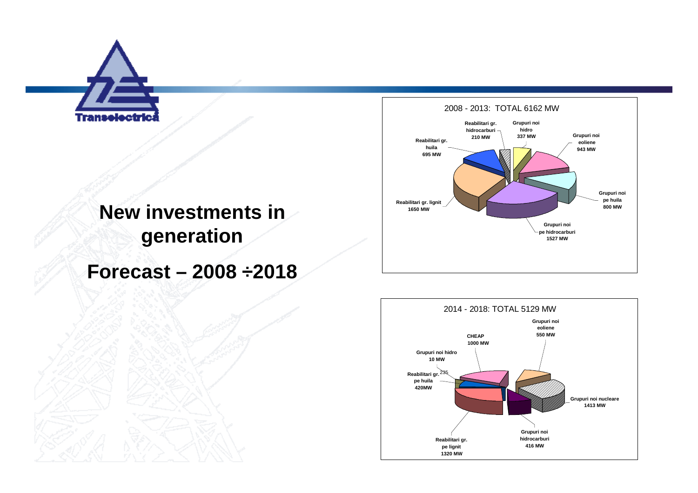

#### **New investments in generation**

**Forecast –2008 ÷2018**



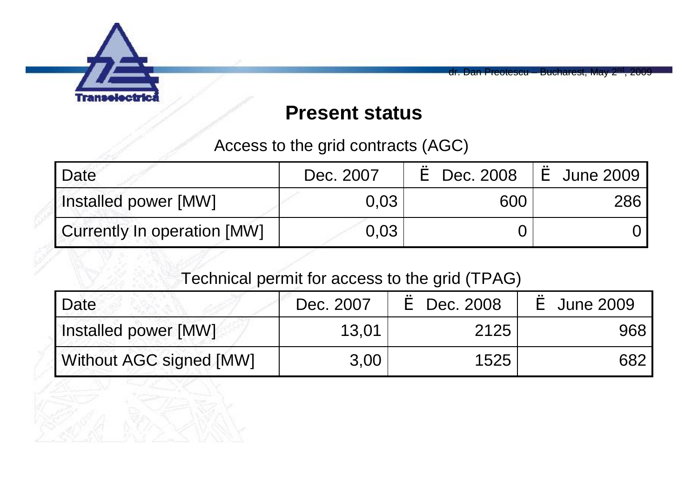

Preotescu – Bucharest, May

#### **Present status**

Access to the grid contracts (AGC)

| I Date                      | Dec. 2007         | $\text{e}$ Dec. 2008 $\text{e}$ June 2009 |     |
|-----------------------------|-------------------|-------------------------------------------|-----|
| Installed power [MW]        | 0.03 <sub>1</sub> | 600                                       | 286 |
| Currently In operation [MW] | 0.03              |                                           |     |

#### Technical permit for access to the grid (TPAG)

| 'Date                   | Dec. 2007 | è Dec. 2008 | è June 2009 |
|-------------------------|-----------|-------------|-------------|
| Installed power [MW]    | 13,01     | 2125        | 968         |
| Without AGC signed [MW] | 3.00      | 1525        | 682         |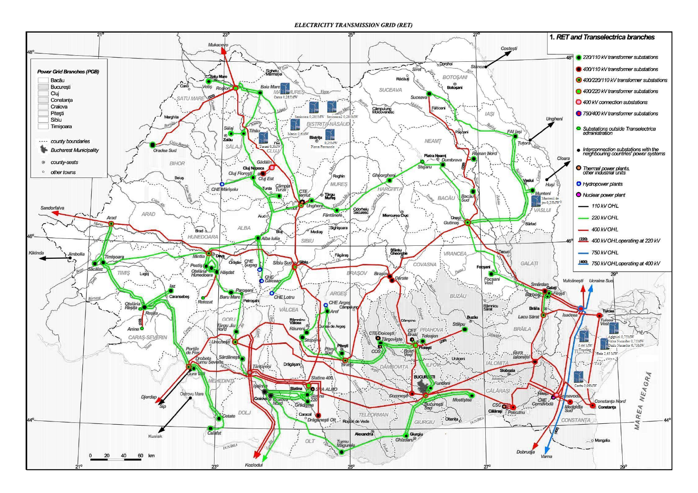**ELECTRICITY TRANSMISSION GRID (RET)** 

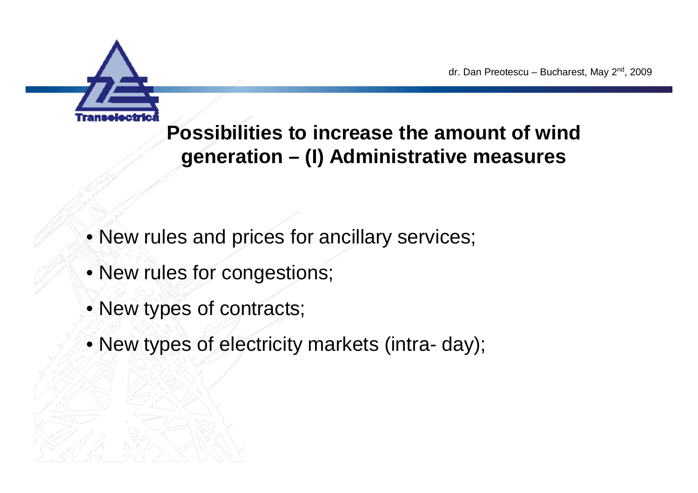

dr. Dan Preotescu – Bucharest, May 2<sup>nd</sup>, 2009

#### **Possibilities to increase the amount of wind generation –(I) Administrative measures**

- •New rules and prices for ancillary services;
- New rules for congestions;
- New types of contracts;
- •New types of electricity markets (intra- day);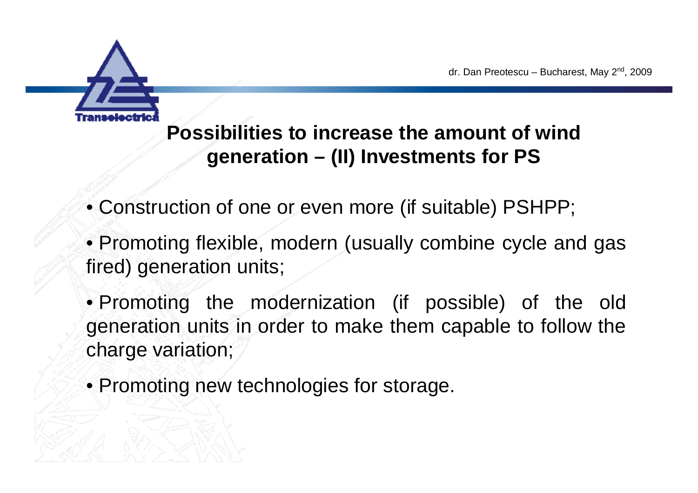

**Possibilities to increase the amount of wind generation –(II) Investments for PS**

- •Construction of one or even more (if suitable) PSHPP;
- •Promoting flexible, modern (usually combine cycle and gas fired) generation units;
- •Promoting the modernization (if possible) of the old generation units in order to make them capable to follow the charge variation;
- Promoting new technologies for storage.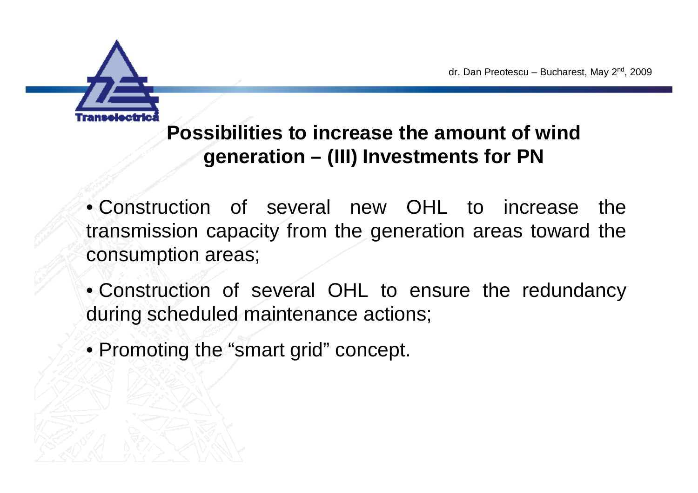

### **Possibilities to increase the amount of wind generation –(III) Investments for PN**

•Construction of several new OHL to increase the transmission capacity from the generation areas toward the consumption areas;

•Construction of several OHL to ensure the redundancy during scheduled maintenance actions;

• Promoting the "smart grid" concept.